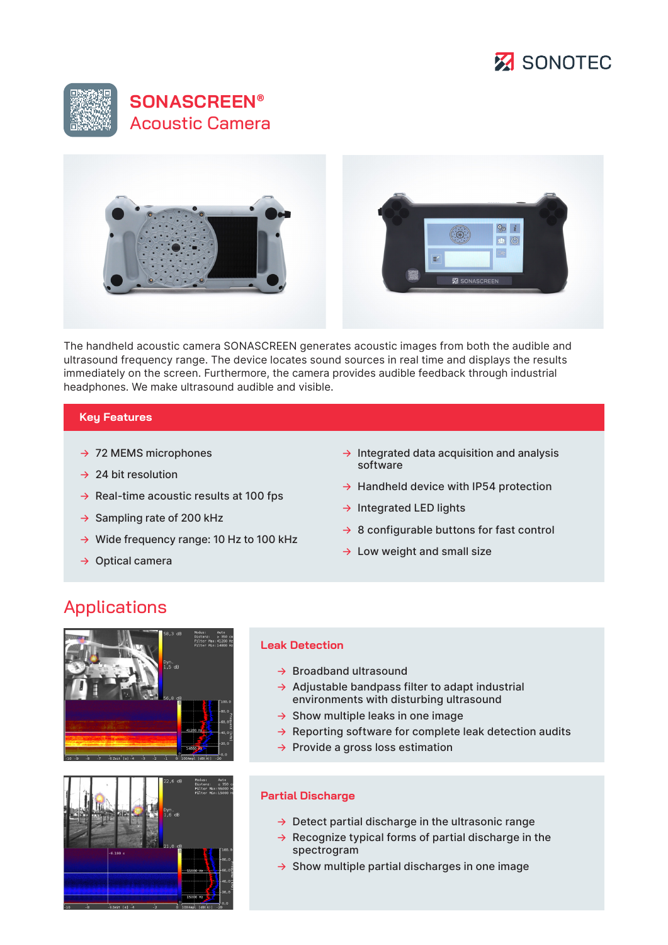





The handheld acoustic camera SONASCREEN generates acoustic images from both the audible and ultrasound frequency range. The device locates sound sources in real time and displays the results immediately on the screen. Furthermore, the camera provides audible feedback through industrial headphones. We make ultrasound audible and visible.

### **Key Features**

- $\rightarrow$  72 MEMS microphones
- $\rightarrow$  24 bit resolution
- $\rightarrow$  Real-time acoustic results at 100 fps
- $\rightarrow$  Sampling rate of 200 kHz
- → Wide frequency range: 10 Hz to 100 kHz
- → Optical camera
- $\rightarrow$  Integrated data acquisition and analysis software
- $\rightarrow$  Handheld device with IP54 protection
- → Integrated LED lights
- $\rightarrow$  8 configurable buttons for fast control
- $\rightarrow$  Low weight and small size

# Applications





#### **Leak Detection**

- $\rightarrow$  Broadband ultrasound
- $\rightarrow$  Adjustable bandpass filter to adapt industrial environments with disturbing ultrasound
- $\rightarrow$  Show multiple leaks in one image
- $\rightarrow$  Reporting software for complete leak detection audits
- $\rightarrow$  Provide a gross loss estimation

#### **Partial Discharge**

- $\rightarrow$  Detect partial discharge in the ultrasonic range
- $\rightarrow$  Recognize typical forms of partial discharge in the spectrogram
- $\rightarrow$  Show multiple partial discharges in one image